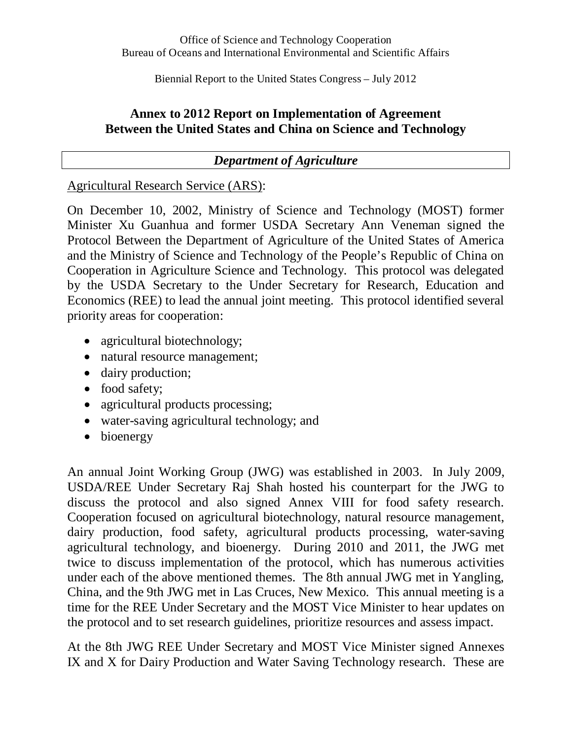Biennial Report to the United States Congress – July 2012

## **Annex to 2012 Report on Implementation of Agreement Between the United States and China on Science and Technology**

# *Department of Agriculture*

## Agricultural Research Service (ARS):

On December 10, 2002, Ministry of Science and Technology (MOST) former Minister Xu Guanhua and former USDA Secretary Ann Veneman signed the Protocol Between the Department of Agriculture of the United States of America and the Ministry of Science and Technology of the People's Republic of China on Cooperation in Agriculture Science and Technology. This protocol was delegated by the USDA Secretary to the Under Secretary for Research, Education and Economics (REE) to lead the annual joint meeting. This protocol identified several priority areas for cooperation:

- agricultural biotechnology;
- natural resource management;
- dairy production;
- food safety;
- agricultural products processing;
- water-saving agricultural technology; and
- bioenergy

An annual Joint Working Group (JWG) was established in 2003. In July 2009, USDA/REE Under Secretary Raj Shah hosted his counterpart for the JWG to discuss the protocol and also signed Annex VIII for food safety research. Cooperation focused on agricultural biotechnology, natural resource management, dairy production, food safety, agricultural products processing, water-saving agricultural technology, and bioenergy. During 2010 and 2011, the JWG met twice to discuss implementation of the protocol, which has numerous activities under each of the above mentioned themes. The 8th annual JWG met in Yangling, China, and the 9th JWG met in Las Cruces, New Mexico. This annual meeting is a time for the REE Under Secretary and the MOST Vice Minister to hear updates on the protocol and to set research guidelines, prioritize resources and assess impact.

At the 8th JWG REE Under Secretary and MOST Vice Minister signed Annexes IX and X for Dairy Production and Water Saving Technology research. These are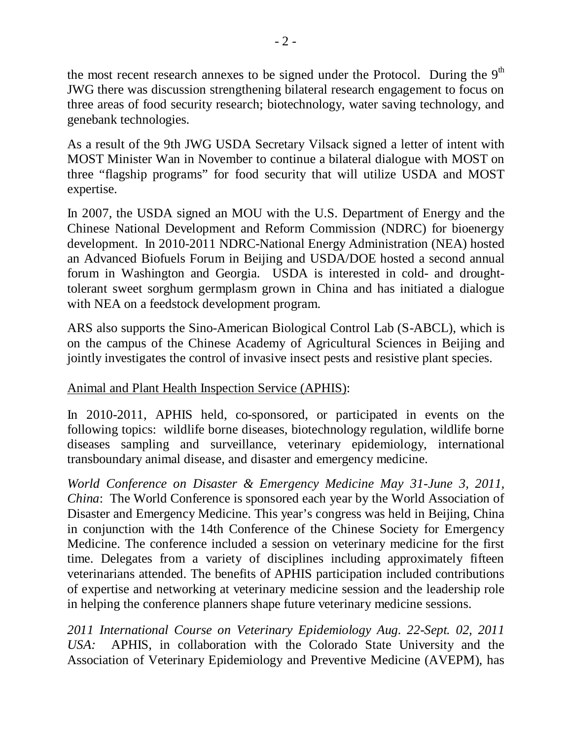the most recent research annexes to be signed under the Protocol. During the  $9<sup>th</sup>$ JWG there was discussion strengthening bilateral research engagement to focus on three areas of food security research; biotechnology, water saving technology, and genebank technologies.

As a result of the 9th JWG USDA Secretary Vilsack signed a letter of intent with MOST Minister Wan in November to continue a bilateral dialogue with MOST on three "flagship programs" for food security that will utilize USDA and MOST expertise.

In 2007, the USDA signed an MOU with the U.S. Department of Energy and the Chinese National Development and Reform Commission (NDRC) for bioenergy development. In 2010-2011 NDRC-National Energy Administration (NEA) hosted an Advanced Biofuels Forum in Beijing and USDA/DOE hosted a second annual forum in Washington and Georgia. USDA is interested in cold- and droughttolerant sweet sorghum germplasm grown in China and has initiated a dialogue with NEA on a feedstock development program.

ARS also supports the Sino-American Biological Control Lab (S-ABCL), which is on the campus of the Chinese Academy of Agricultural Sciences in Beijing and jointly investigates the control of invasive insect pests and resistive plant species.

## Animal and Plant Health Inspection Service (APHIS):

In 2010-2011, APHIS held, co-sponsored, or participated in events on the following topics: wildlife borne diseases, biotechnology regulation, wildlife borne diseases sampling and surveillance, veterinary epidemiology, international transboundary animal disease, and disaster and emergency medicine.

*World Conference on Disaster & Emergency Medicine May 31-June 3, 2011, China*: The World Conference is sponsored each year by the World Association of Disaster and Emergency Medicine. This year's congress was held in Beijing, China in conjunction with the 14th Conference of the Chinese Society for Emergency Medicine. The conference included a session on veterinary medicine for the first time. Delegates from a variety of disciplines including approximately fifteen veterinarians attended. The benefits of APHIS participation included contributions of expertise and networking at veterinary medicine session and the leadership role in helping the conference planners shape future veterinary medicine sessions.

*2011 International Course on Veterinary Epidemiology Aug. 22-Sept. 02, 2011 USA:* APHIS, in collaboration with the Colorado State University and the Association of Veterinary Epidemiology and Preventive Medicine (AVEPM), has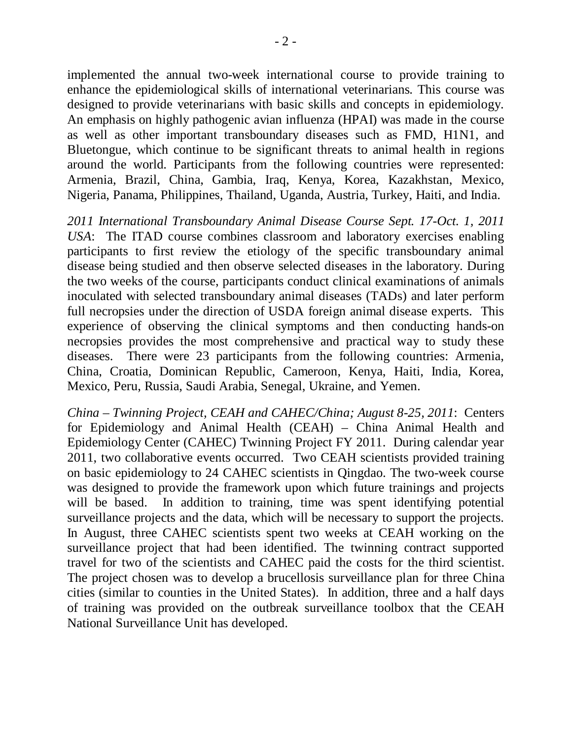implemented the annual two-week international course to provide training to enhance the epidemiological skills of international veterinarians. This course was designed to provide veterinarians with basic skills and concepts in epidemiology. An emphasis on highly pathogenic avian influenza (HPAI) was made in the course as well as other important transboundary diseases such as FMD, H1N1, and Bluetongue, which continue to be significant threats to animal health in regions around the world. Participants from the following countries were represented: Armenia, Brazil, China, Gambia, Iraq, Kenya, Korea, Kazakhstan, Mexico, Nigeria, Panama, Philippines, Thailand, Uganda, Austria, Turkey, Haiti, and India.

*2011 International Transboundary Animal Disease Course Sept. 17-Oct. 1, 2011 USA*: The ITAD course combines classroom and laboratory exercises enabling participants to first review the etiology of the specific transboundary animal disease being studied and then observe selected diseases in the laboratory. During the two weeks of the course, participants conduct clinical examinations of animals inoculated with selected transboundary animal diseases (TADs) and later perform full necropsies under the direction of USDA foreign animal disease experts. This experience of observing the clinical symptoms and then conducting hands-on necropsies provides the most comprehensive and practical way to study these diseases. There were 23 participants from the following countries: Armenia, China, Croatia, Dominican Republic, Cameroon, Kenya, Haiti, India, Korea, Mexico, Peru, Russia, Saudi Arabia, Senegal, Ukraine, and Yemen.

*China – Twinning Project, CEAH and CAHEC/China; August 8-25, 2011*: Centers for Epidemiology and Animal Health (CEAH) – China Animal Health and Epidemiology Center (CAHEC) Twinning Project FY 2011. During calendar year 2011, two collaborative events occurred. Two CEAH scientists provided training on basic epidemiology to 24 CAHEC scientists in Qingdao. The two-week course was designed to provide the framework upon which future trainings and projects will be based. In addition to training, time was spent identifying potential surveillance projects and the data, which will be necessary to support the projects. In August, three CAHEC scientists spent two weeks at CEAH working on the surveillance project that had been identified. The twinning contract supported travel for two of the scientists and CAHEC paid the costs for the third scientist. The project chosen was to develop a brucellosis surveillance plan for three China cities (similar to counties in the United States). In addition, three and a half days of training was provided on the outbreak surveillance toolbox that the CEAH National Surveillance Unit has developed.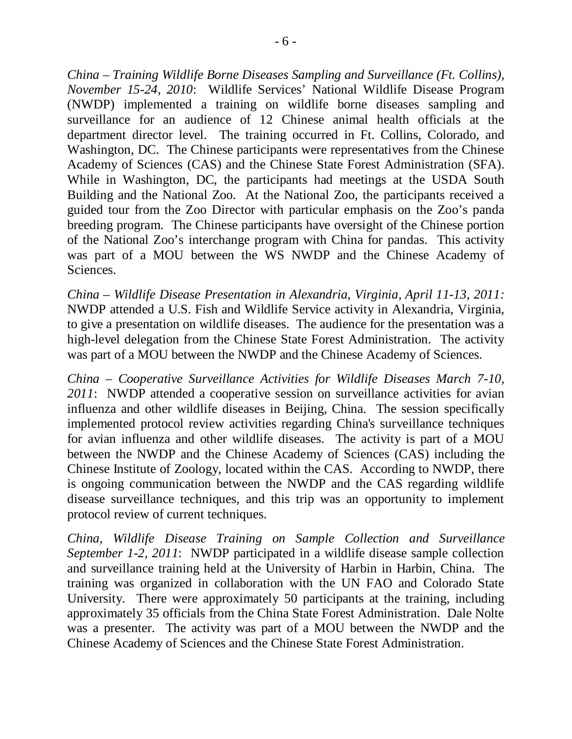*China – Training Wildlife Borne Diseases Sampling and Surveillance (Ft. Collins), November 15-24, 2010*: Wildlife Services' National Wildlife Disease Program (NWDP) implemented a training on wildlife borne diseases sampling and surveillance for an audience of 12 Chinese animal health officials at the department director level. The training occurred in Ft. Collins, Colorado, and Washington, DC. The Chinese participants were representatives from the Chinese Academy of Sciences (CAS) and the Chinese State Forest Administration (SFA). While in Washington, DC, the participants had meetings at the USDA South Building and the National Zoo. At the National Zoo, the participants received a guided tour from the Zoo Director with particular emphasis on the Zoo's panda breeding program. The Chinese participants have oversight of the Chinese portion of the National Zoo's interchange program with China for pandas. This activity was part of a MOU between the WS NWDP and the Chinese Academy of Sciences.

*China – Wildlife Disease Presentation in Alexandria, Virginia, April 11-13, 2011:* NWDP attended a U.S. Fish and Wildlife Service activity in Alexandria, Virginia, to give a presentation on wildlife diseases. The audience for the presentation was a high-level delegation from the Chinese State Forest Administration. The activity was part of a MOU between the NWDP and the Chinese Academy of Sciences.

*China – Cooperative Surveillance Activities for Wildlife Diseases March 7-10, 2011*: NWDP attended a cooperative session on surveillance activities for avian influenza and other wildlife diseases in Beijing, China. The session specifically implemented protocol review activities regarding China's surveillance techniques for avian influenza and other wildlife diseases. The activity is part of a MOU between the NWDP and the Chinese Academy of Sciences (CAS) including the Chinese Institute of Zoology, located within the CAS. According to NWDP, there is ongoing communication between the NWDP and the CAS regarding wildlife disease surveillance techniques, and this trip was an opportunity to implement protocol review of current techniques.

*China, Wildlife Disease Training on Sample Collection and Surveillance September 1-2, 2011*: NWDP participated in a wildlife disease sample collection and surveillance training held at the University of Harbin in Harbin, China. The training was organized in collaboration with the UN FAO and Colorado State University. There were approximately 50 participants at the training, including approximately 35 officials from the China State Forest Administration. Dale Nolte was a presenter. The activity was part of a MOU between the NWDP and the Chinese Academy of Sciences and the Chinese State Forest Administration.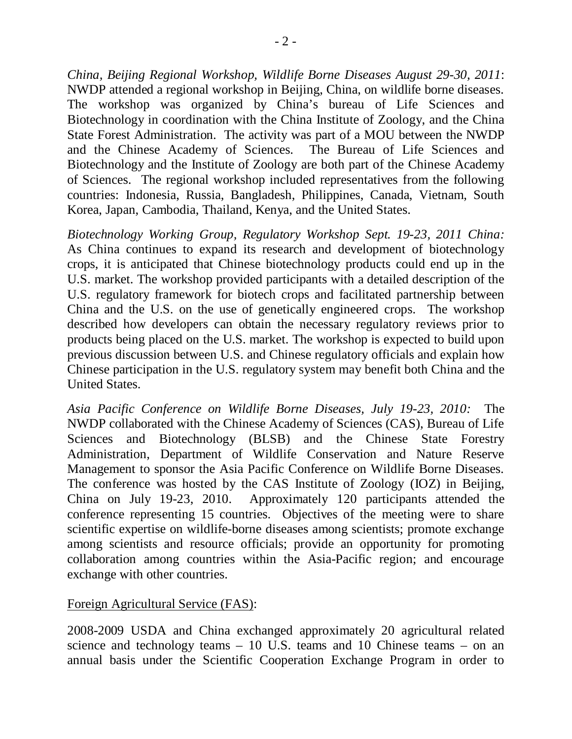*China, Beijing Regional Workshop, Wildlife Borne Diseases August 29-30, 2011*: NWDP attended a regional workshop in Beijing, China, on wildlife borne diseases. The workshop was organized by China's bureau of Life Sciences and Biotechnology in coordination with the China Institute of Zoology, and the China State Forest Administration. The activity was part of a MOU between the NWDP and the Chinese Academy of Sciences. The Bureau of Life Sciences and Biotechnology and the Institute of Zoology are both part of the Chinese Academy of Sciences. The regional workshop included representatives from the following countries: Indonesia, Russia, Bangladesh, Philippines, Canada, Vietnam, South Korea, Japan, Cambodia, Thailand, Kenya, and the United States.

*Biotechnology Working Group, Regulatory Workshop Sept. 19-23, 2011 China:* As China continues to expand its research and development of biotechnology crops, it is anticipated that Chinese biotechnology products could end up in the U.S. market. The workshop provided participants with a detailed description of the U.S. regulatory framework for biotech crops and facilitated partnership between China and the U.S. on the use of genetically engineered crops. The workshop described how developers can obtain the necessary regulatory reviews prior to products being placed on the U.S. market. The workshop is expected to build upon previous discussion between U.S. and Chinese regulatory officials and explain how Chinese participation in the U.S. regulatory system may benefit both China and the United States.

*Asia Pacific Conference on Wildlife Borne Diseases, July 19-23, 2010:* The NWDP collaborated with the Chinese Academy of Sciences (CAS), Bureau of Life Sciences and Biotechnology (BLSB) and the Chinese State Forestry Administration, Department of Wildlife Conservation and Nature Reserve Management to sponsor the Asia Pacific Conference on Wildlife Borne Diseases. The conference was hosted by the CAS Institute of Zoology (IOZ) in Beijing, China on July 19-23, 2010. Approximately 120 participants attended the conference representing 15 countries. Objectives of the meeting were to share scientific expertise on wildlife-borne diseases among scientists; promote exchange among scientists and resource officials; provide an opportunity for promoting collaboration among countries within the Asia-Pacific region; and encourage exchange with other countries.

### Foreign Agricultural Service (FAS):

2008-2009 USDA and China exchanged approximately 20 agricultural related science and technology teams – 10 U.S. teams and 10 Chinese teams – on an annual basis under the Scientific Cooperation Exchange Program in order to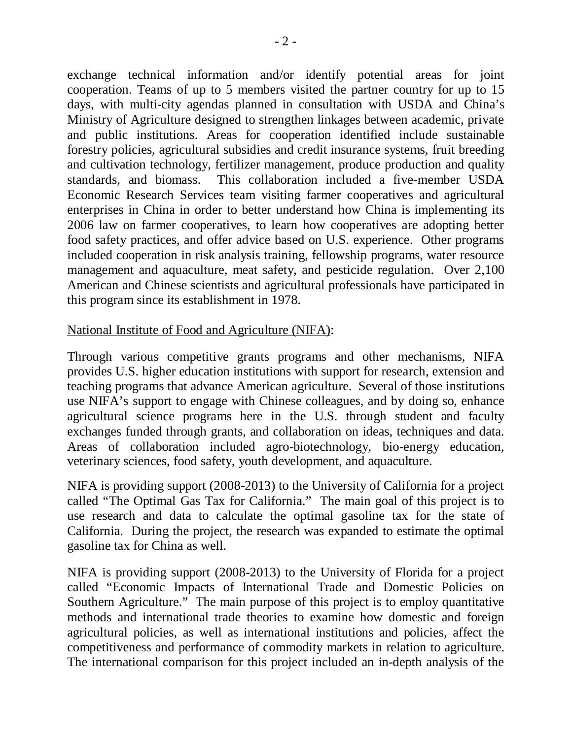exchange technical information and/or identify potential areas for joint cooperation. Teams of up to 5 members visited the partner country for up to 15 days, with multi-city agendas planned in consultation with USDA and China's Ministry of Agriculture designed to strengthen linkages between academic, private and public institutions. Areas for cooperation identified include sustainable forestry policies, agricultural subsidies and credit insurance systems, fruit breeding and cultivation technology, fertilizer management, produce production and quality standards, and biomass. This collaboration included a five-member USDA Economic Research Services team visiting farmer cooperatives and agricultural enterprises in China in order to better understand how China is implementing its 2006 law on farmer cooperatives, to learn how cooperatives are adopting better food safety practices, and offer advice based on U.S. experience. Other programs included cooperation in risk analysis training, fellowship programs, water resource management and aquaculture, meat safety, and pesticide regulation. Over 2,100 American and Chinese scientists and agricultural professionals have participated in this program since its establishment in 1978.

### National Institute of Food and Agriculture (NIFA):

Through various competitive grants programs and other mechanisms, NIFA provides U.S. higher education institutions with support for research, extension and teaching programs that advance American agriculture. Several of those institutions use NIFA's support to engage with Chinese colleagues, and by doing so, enhance agricultural science programs here in the U.S. through student and faculty exchanges funded through grants, and collaboration on ideas, techniques and data. Areas of collaboration included agro-biotechnology, bio-energy education, veterinary sciences, food safety, youth development, and aquaculture.

NIFA is providing support (2008-2013) to the University of California for a project called "The Optimal Gas Tax for California." The main goal of this project is to use research and data to calculate the optimal gasoline tax for the state of California. During the project, the research was expanded to estimate the optimal gasoline tax for China as well.

NIFA is providing support (2008-2013) to the University of Florida for a project called "Economic Impacts of International Trade and Domestic Policies on Southern Agriculture." The main purpose of this project is to employ quantitative methods and international trade theories to examine how domestic and foreign agricultural policies, as well as international institutions and policies, affect the competitiveness and performance of commodity markets in relation to agriculture. The international comparison for this project included an in-depth analysis of the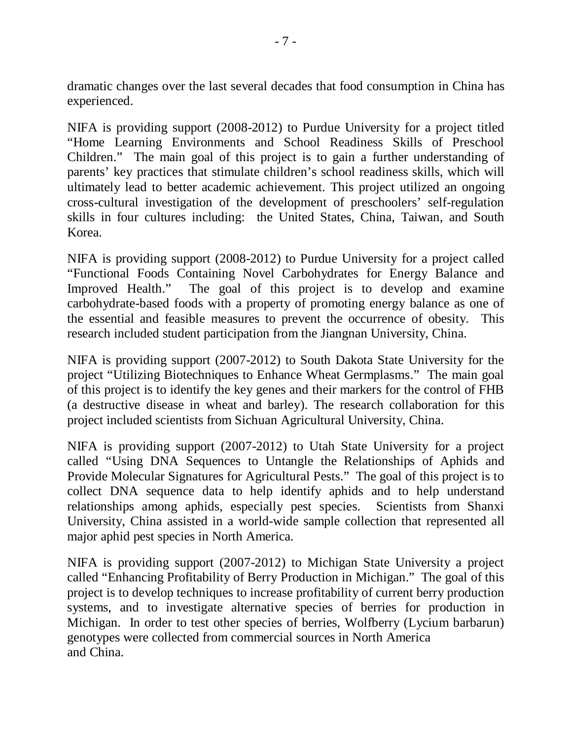dramatic changes over the last several decades that food consumption in China has experienced.

NIFA is providing support (2008-2012) to Purdue University for a project titled "Home Learning Environments and School Readiness Skills of Preschool Children." The main goal of this project is to gain a further understanding of parents' key practices that stimulate children's school readiness skills, which will ultimately lead to better academic achievement. This project utilized an ongoing cross-cultural investigation of the development of preschoolers' self-regulation skills in four cultures including: the United States, China, Taiwan, and South Korea.

NIFA is providing support (2008-2012) to Purdue University for a project called "Functional Foods Containing Novel Carbohydrates for Energy Balance and Improved Health." The goal of this project is to develop and examine carbohydrate-based foods with a property of promoting energy balance as one of the essential and feasible measures to prevent the occurrence of obesity. This research included student participation from the Jiangnan University, China.

NIFA is providing support (2007-2012) to South Dakota State University for the project "Utilizing Biotechniques to Enhance Wheat Germplasms." The main goal of this project is to identify the key genes and their markers for the control of FHB (a destructive disease in wheat and barley). The research collaboration for this project included scientists from Sichuan Agricultural University, China.

NIFA is providing support (2007-2012) to Utah State University for a project called "Using DNA Sequences to Untangle the Relationships of Aphids and Provide Molecular Signatures for Agricultural Pests." The goal of this project is to collect DNA sequence data to help identify aphids and to help understand relationships among aphids, especially pest species. Scientists from Shanxi University, China assisted in a world-wide sample collection that represented all major aphid pest species in North America.

NIFA is providing support (2007-2012) to Michigan State University a project called "Enhancing Profitability of Berry Production in Michigan." The goal of this project is to develop techniques to increase profitability of current berry production systems, and to investigate alternative species of berries for production in Michigan. In order to test other species of berries, Wolfberry (Lycium barbarun) genotypes were collected from commercial sources in North America and China.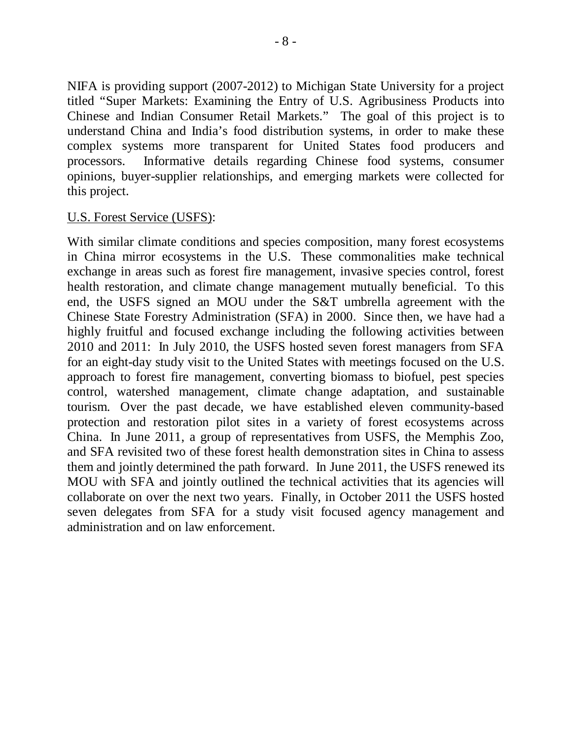NIFA is providing support (2007-2012) to Michigan State University for a project titled "Super Markets: Examining the Entry of U.S. Agribusiness Products into Chinese and Indian Consumer Retail Markets." The goal of this project is to understand China and India's food distribution systems, in order to make these complex systems more transparent for United States food producers and processors. Informative details regarding Chinese food systems, consumer opinions, buyer-supplier relationships, and emerging markets were collected for this project.

#### U.S. Forest Service (USFS):

With similar climate conditions and species composition, many forest ecosystems in China mirror ecosystems in the U.S. These commonalities make technical exchange in areas such as forest fire management, invasive species control, forest health restoration, and climate change management mutually beneficial. To this end, the USFS signed an MOU under the S&T umbrella agreement with the Chinese State Forestry Administration (SFA) in 2000. Since then, we have had a highly fruitful and focused exchange including the following activities between 2010 and 2011: In July 2010, the USFS hosted seven forest managers from SFA for an eight-day study visit to the United States with meetings focused on the U.S. approach to forest fire management, converting biomass to biofuel, pest species control, watershed management, climate change adaptation, and sustainable tourism. Over the past decade, we have established eleven community-based protection and restoration pilot sites in a variety of forest ecosystems across China. In June 2011, a group of representatives from USFS, the Memphis Zoo, and SFA revisited two of these forest health demonstration sites in China to assess them and jointly determined the path forward. In June 2011, the USFS renewed its MOU with SFA and jointly outlined the technical activities that its agencies will collaborate on over the next two years. Finally, in October 2011 the USFS hosted seven delegates from SFA for a study visit focused agency management and administration and on law enforcement.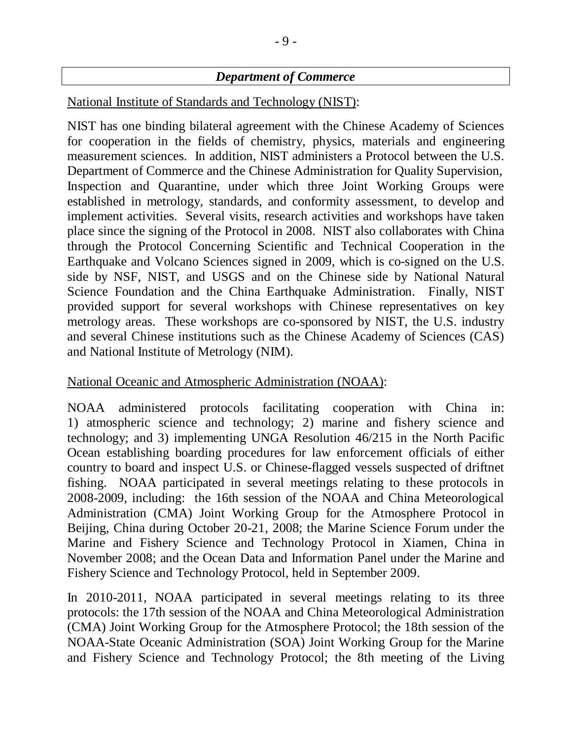# *Department of Commerce*

National Institute of Standards and Technology (NIST):

NIST has one binding bilateral agreement with the Chinese Academy of Sciences for cooperation in the fields of chemistry, physics, materials and engineering measurement sciences. In addition, NIST administers a Protocol between the U.S. Department of Commerce and the Chinese Administration for Quality Supervision, Inspection and Quarantine, under which three Joint Working Groups were established in metrology, standards, and conformity assessment, to develop and implement activities. Several visits, research activities and workshops have taken place since the signing of the Protocol in 2008. NIST also collaborates with China through the Protocol Concerning Scientific and Technical Cooperation in the Earthquake and Volcano Sciences signed in 2009, which is co-signed on the U.S. side by NSF, NIST, and USGS and on the Chinese side by National Natural Science Foundation and the China Earthquake Administration. Finally, NIST provided support for several workshops with Chinese representatives on key metrology areas. These workshops are co-sponsored by NIST, the U.S. industry and several Chinese institutions such as the Chinese Academy of Sciences (CAS) and National Institute of Metrology (NIM).

### National Oceanic and Atmospheric Administration (NOAA):

NOAA administered protocols facilitating cooperation with China in: 1) atmospheric science and technology; 2) marine and fishery science and technology; and 3) implementing UNGA Resolution 46/215 in the North Pacific Ocean establishing boarding procedures for law enforcement officials of either country to board and inspect U.S. or Chinese-flagged vessels suspected of driftnet fishing. NOAA participated in several meetings relating to these protocols in 2008-2009, including: the 16th session of the NOAA and China Meteorological Administration (CMA) Joint Working Group for the Atmosphere Protocol in Beijing, China during October 20-21, 2008; the Marine Science Forum under the Marine and Fishery Science and Technology Protocol in Xiamen, China in November 2008; and the Ocean Data and Information Panel under the Marine and Fishery Science and Technology Protocol, held in September 2009.

In 2010-2011, NOAA participated in several meetings relating to its three protocols: the 17th session of the NOAA and China Meteorological Administration (CMA) Joint Working Group for the Atmosphere Protocol; the 18th session of the NOAA-State Oceanic Administration (SOA) Joint Working Group for the Marine and Fishery Science and Technology Protocol; the 8th meeting of the Living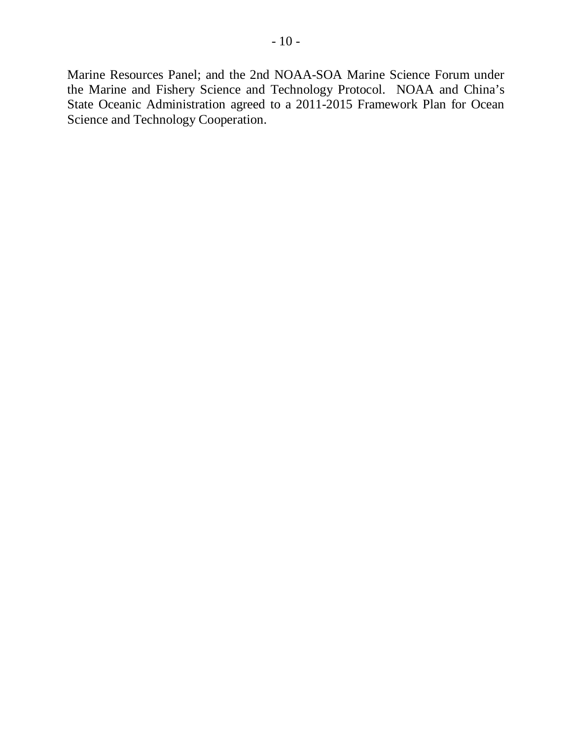Marine Resources Panel; and the 2nd NOAA-SOA Marine Science Forum under the Marine and Fishery Science and Technology Protocol. NOAA and China's State Oceanic Administration agreed to a 2011-2015 Framework Plan for Ocean Science and Technology Cooperation.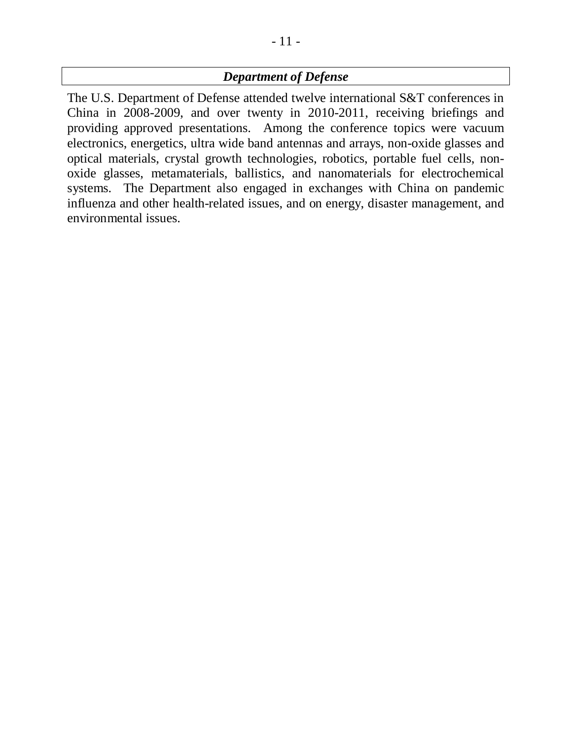# *Department of Defense*

The U.S. Department of Defense attended twelve international S&T conferences in China in 2008-2009, and over twenty in 2010-2011, receiving briefings and providing approved presentations. Among the conference topics were vacuum electronics, energetics, ultra wide band antennas and arrays, non-oxide glasses and optical materials, crystal growth technologies, robotics, portable fuel cells, nonoxide glasses, metamaterials, ballistics, and nanomaterials for electrochemical systems. The Department also engaged in exchanges with China on pandemic influenza and other health-related issues, and on energy, disaster management, and environmental issues.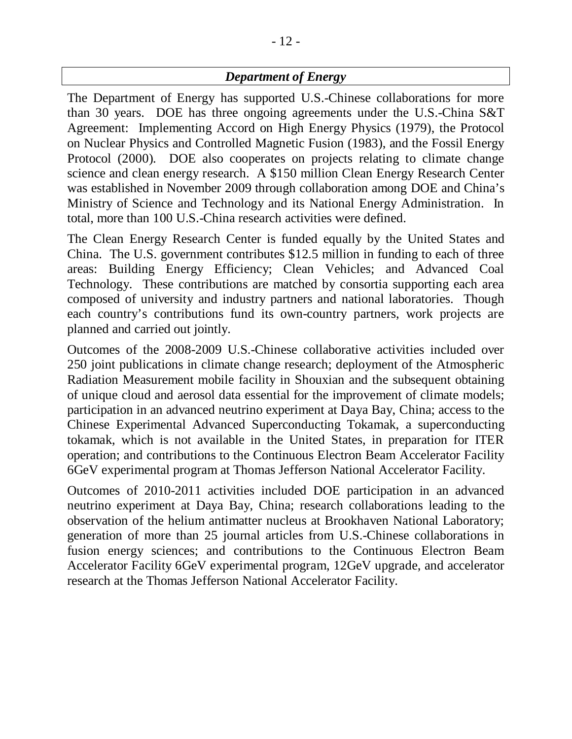# *Department of Energy*

The Department of Energy has supported U.S.-Chinese collaborations for more than 30 years. DOE has three ongoing agreements under the U.S.-China S&T Agreement: Implementing Accord on High Energy Physics (1979), the Protocol on Nuclear Physics and Controlled Magnetic Fusion (1983), and the Fossil Energy Protocol (2000). DOE also cooperates on projects relating to climate change science and clean energy research. A \$150 million Clean Energy Research Center was established in November 2009 through collaboration among DOE and China's Ministry of Science and Technology and its National Energy Administration. In total, more than 100 U.S.-China research activities were defined.

The Clean Energy Research Center is funded equally by the United States and China. The U.S. government contributes \$12.5 million in funding to each of three areas: Building Energy Efficiency; Clean Vehicles; and Advanced Coal Technology. These contributions are matched by consortia supporting each area composed of university and industry partners and national laboratories. Though each country's contributions fund its own-country partners, work projects are planned and carried out jointly.

Outcomes of the 2008-2009 U.S.-Chinese collaborative activities included over 250 joint publications in climate change research; deployment of the Atmospheric Radiation Measurement mobile facility in Shouxian and the subsequent obtaining of unique cloud and aerosol data essential for the improvement of climate models; participation in an advanced neutrino experiment at Daya Bay, China; access to the Chinese Experimental Advanced Superconducting Tokamak, a superconducting tokamak, which is not available in the United States, in preparation for ITER operation; and contributions to the Continuous Electron Beam Accelerator Facility 6GeV experimental program at Thomas Jefferson National Accelerator Facility.

Outcomes of 2010-2011 activities included DOE participation in an advanced neutrino experiment at Daya Bay, China; research collaborations leading to the observation of the helium antimatter nucleus at Brookhaven National Laboratory; generation of more than 25 journal articles from U.S.-Chinese collaborations in fusion energy sciences; and contributions to the Continuous Electron Beam Accelerator Facility 6GeV experimental program, 12GeV upgrade, and accelerator research at the Thomas Jefferson National Accelerator Facility.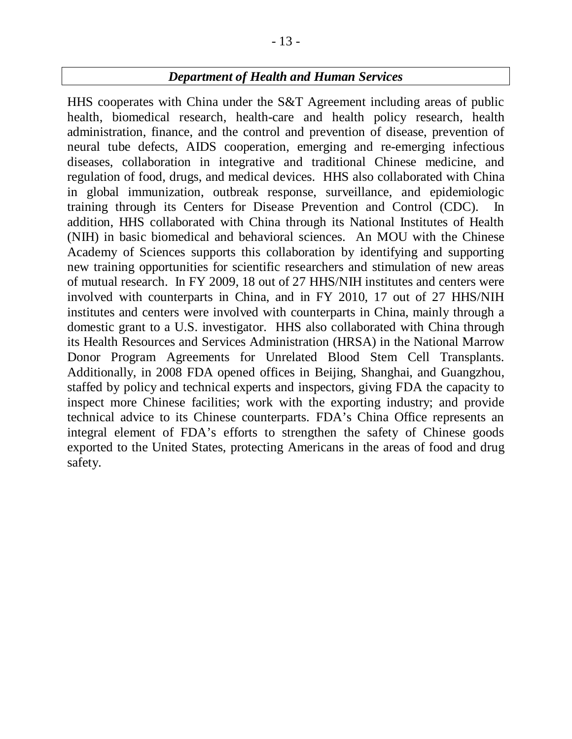## *Department of Health and Human Services*

HHS cooperates with China under the S&T Agreement including areas of public health, biomedical research, health-care and health policy research, health administration, finance, and the control and prevention of disease, prevention of neural tube defects, AIDS cooperation, emerging and re-emerging infectious diseases, collaboration in integrative and traditional Chinese medicine, and regulation of food, drugs, and medical devices. HHS also collaborated with China in global immunization, outbreak response, surveillance, and epidemiologic training through its Centers for Disease Prevention and Control (CDC). In addition, HHS collaborated with China through its National Institutes of Health (NIH) in basic biomedical and behavioral sciences. An MOU with the Chinese Academy of Sciences supports this collaboration by identifying and supporting new training opportunities for scientific researchers and stimulation of new areas of mutual research. In FY 2009, 18 out of 27 HHS/NIH institutes and centers were involved with counterparts in China, and in FY 2010, 17 out of 27 HHS/NIH institutes and centers were involved with counterparts in China, mainly through a domestic grant to a U.S. investigator. HHS also collaborated with China through its Health Resources and Services Administration (HRSA) in the National Marrow Donor Program Agreements for Unrelated Blood Stem Cell Transplants. Additionally, in 2008 FDA opened offices in Beijing, Shanghai, and Guangzhou, staffed by policy and technical experts and inspectors, giving FDA the capacity to inspect more Chinese facilities; work with the exporting industry; and provide technical advice to its Chinese counterparts. FDA's China Office represents an integral element of FDA's efforts to strengthen the safety of Chinese goods exported to the United States, protecting Americans in the areas of food and drug safety.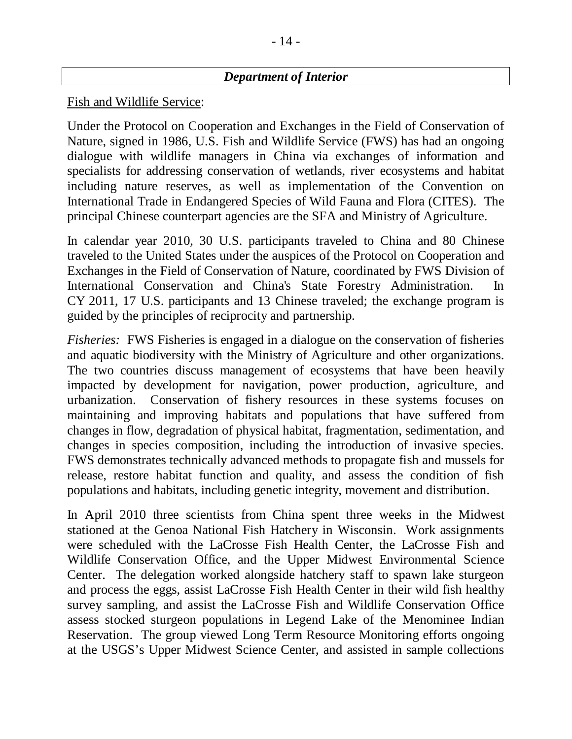### *Department of Interior*

#### Fish and Wildlife Service:

Under the Protocol on Cooperation and Exchanges in the Field of Conservation of Nature, signed in 1986, U.S. Fish and Wildlife Service (FWS) has had an ongoing dialogue with wildlife managers in China via exchanges of information and specialists for addressing conservation of wetlands, river ecosystems and habitat including nature reserves, as well as implementation of the Convention on International Trade in Endangered Species of Wild Fauna and Flora (CITES). The principal Chinese counterpart agencies are the SFA and Ministry of Agriculture.

In calendar year 2010, 30 U.S. participants traveled to China and 80 Chinese traveled to the United States under the auspices of the Protocol on Cooperation and Exchanges in the Field of Conservation of Nature, coordinated by FWS Division of International Conservation and China's State Forestry Administration. In CY 2011, 17 U.S. participants and 13 Chinese traveled; the exchange program is guided by the principles of reciprocity and partnership.

*Fisheries:* FWS Fisheries is engaged in a dialogue on the conservation of fisheries and aquatic biodiversity with the Ministry of Agriculture and other organizations. The two countries discuss management of ecosystems that have been heavily impacted by development for navigation, power production, agriculture, and urbanization. Conservation of fishery resources in these systems focuses on maintaining and improving habitats and populations that have suffered from changes in flow, degradation of physical habitat, fragmentation, sedimentation, and changes in species composition, including the introduction of invasive species. FWS demonstrates technically advanced methods to propagate fish and mussels for release, restore habitat function and quality, and assess the condition of fish populations and habitats, including genetic integrity, movement and distribution.

In April 2010 three scientists from China spent three weeks in the Midwest stationed at the Genoa National Fish Hatchery in Wisconsin. Work assignments were scheduled with the LaCrosse Fish Health Center, the LaCrosse Fish and Wildlife Conservation Office, and the Upper Midwest Environmental Science Center. The delegation worked alongside hatchery staff to spawn lake sturgeon and process the eggs, assist LaCrosse Fish Health Center in their wild fish healthy survey sampling, and assist the LaCrosse Fish and Wildlife Conservation Office assess stocked sturgeon populations in Legend Lake of the Menominee Indian Reservation. The group viewed Long Term Resource Monitoring efforts ongoing at the USGS's Upper Midwest Science Center, and assisted in sample collections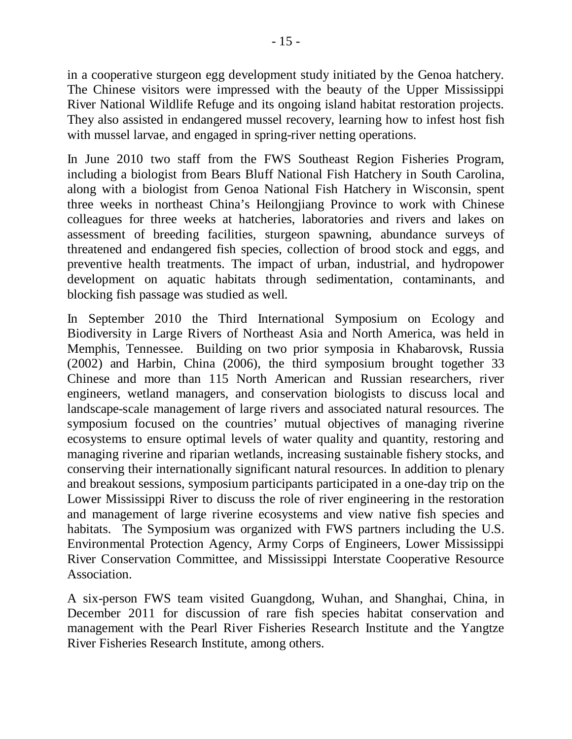in a cooperative sturgeon egg development study initiated by the Genoa hatchery. The Chinese visitors were impressed with the beauty of the Upper Mississippi River National Wildlife Refuge and its ongoing island habitat restoration projects. They also assisted in endangered mussel recovery, learning how to infest host fish with mussel larvae, and engaged in spring-river netting operations.

In June 2010 two staff from the FWS Southeast Region Fisheries Program, including a biologist from Bears Bluff National Fish Hatchery in South Carolina, along with a biologist from Genoa National Fish Hatchery in Wisconsin, spent three weeks in northeast China's Heilongjiang Province to work with Chinese colleagues for three weeks at hatcheries, laboratories and rivers and lakes on assessment of breeding facilities, sturgeon spawning, abundance surveys of threatened and endangered fish species, collection of brood stock and eggs, and preventive health treatments. The impact of urban, industrial, and hydropower development on aquatic habitats through sedimentation, contaminants, and blocking fish passage was studied as well.

In September 2010 the Third International Symposium on Ecology and Biodiversity in Large Rivers of Northeast Asia and North America, was held in Memphis, Tennessee. Building on two prior symposia in Khabarovsk, Russia (2002) and Harbin, China (2006), the third symposium brought together 33 Chinese and more than 115 North American and Russian researchers, river engineers, wetland managers, and conservation biologists to discuss local and landscape-scale management of large rivers and associated natural resources. The symposium focused on the countries' mutual objectives of managing riverine ecosystems to ensure optimal levels of water quality and quantity, restoring and managing riverine and riparian wetlands, increasing sustainable fishery stocks, and conserving their internationally significant natural resources. In addition to plenary and breakout sessions, symposium participants participated in a one-day trip on the Lower Mississippi River to discuss the role of river engineering in the restoration and management of large riverine ecosystems and view native fish species and habitats. The Symposium was organized with FWS partners including the U.S. Environmental Protection Agency, Army Corps of Engineers, Lower Mississippi River Conservation Committee, and Mississippi Interstate Cooperative Resource Association.

A six-person FWS team visited Guangdong, Wuhan, and Shanghai, China, in December 2011 for discussion of rare fish species habitat conservation and management with the Pearl River Fisheries Research Institute and the Yangtze River Fisheries Research Institute, among others.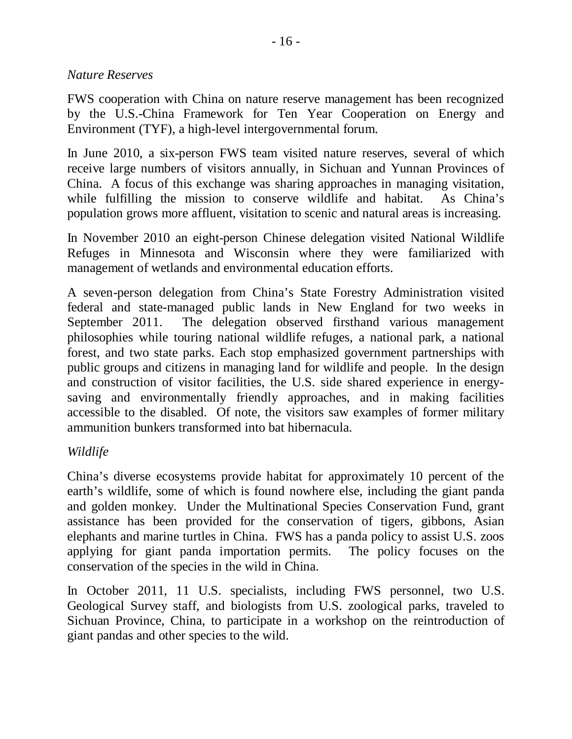### *Nature Reserves*

FWS cooperation with China on nature reserve management has been recognized by the U.S.-China Framework for Ten Year Cooperation on Energy and Environment (TYF), a high-level intergovernmental forum.

In June 2010, a six-person FWS team visited nature reserves, several of which receive large numbers of visitors annually, in Sichuan and Yunnan Provinces of China. A focus of this exchange was sharing approaches in managing visitation, while fulfilling the mission to conserve wildlife and habitat. As China's population grows more affluent, visitation to scenic and natural areas is increasing.

In November 2010 an eight-person Chinese delegation visited National Wildlife Refuges in Minnesota and Wisconsin where they were familiarized with management of wetlands and environmental education efforts.

A seven-person delegation from China's State Forestry Administration visited federal and state-managed public lands in New England for two weeks in September 2011. The delegation observed firsthand various management philosophies while touring national wildlife refuges, a national park, a national forest, and two state parks. Each stop emphasized government partnerships with public groups and citizens in managing land for wildlife and people. In the design and construction of visitor facilities, the U.S. side shared experience in energysaving and environmentally friendly approaches, and in making facilities accessible to the disabled. Of note, the visitors saw examples of former military ammunition bunkers transformed into bat hibernacula.

### *Wildlife*

China's diverse ecosystems provide habitat for approximately 10 percent of the earth's wildlife, some of which is found nowhere else, including the giant panda and golden monkey. Under the Multinational Species Conservation Fund, grant assistance has been provided for the conservation of tigers, gibbons, Asian elephants and marine turtles in China. FWS has a panda policy to assist U.S. zoos applying for giant panda importation permits. The policy focuses on the conservation of the species in the wild in China.

In October 2011, 11 U.S. specialists, including FWS personnel, two U.S. Geological Survey staff, and biologists from U.S. zoological parks, traveled to Sichuan Province, China, to participate in a workshop on the reintroduction of giant pandas and other species to the wild.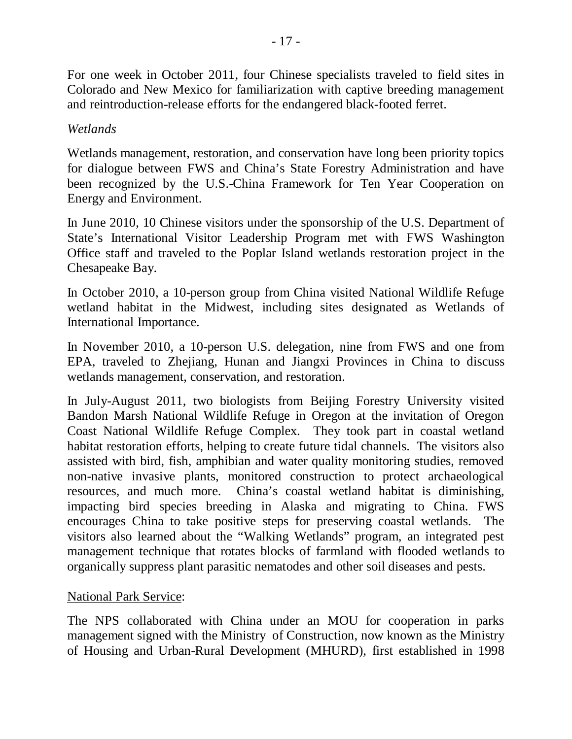For one week in October 2011, four Chinese specialists traveled to field sites in Colorado and New Mexico for familiarization with captive breeding management and reintroduction-release efforts for the endangered black-footed ferret.

## *Wetlands*

Wetlands management, restoration, and conservation have long been priority topics for dialogue between FWS and China's State Forestry Administration and have been recognized by the U.S.-China Framework for Ten Year Cooperation on Energy and Environment.

In June 2010, 10 Chinese visitors under the sponsorship of the U.S. Department of State's International Visitor Leadership Program met with FWS Washington Office staff and traveled to the Poplar Island wetlands restoration project in the Chesapeake Bay.

In October 2010, a 10-person group from China visited National Wildlife Refuge wetland habitat in the Midwest, including sites designated as Wetlands of International Importance.

In November 2010, a 10-person U.S. delegation, nine from FWS and one from EPA, traveled to Zhejiang, Hunan and Jiangxi Provinces in China to discuss wetlands management, conservation, and restoration.

In July-August 2011, two biologists from Beijing Forestry University visited Bandon Marsh National Wildlife Refuge in Oregon at the invitation of Oregon Coast National Wildlife Refuge Complex. They took part in coastal wetland habitat restoration efforts, helping to create future tidal channels. The visitors also assisted with bird, fish, amphibian and water quality monitoring studies, removed non-native invasive plants, monitored construction to protect archaeological resources, and much more. China's coastal wetland habitat is diminishing, impacting bird species breeding in Alaska and migrating to China. FWS encourages China to take positive steps for preserving coastal wetlands. The visitors also learned about the "Walking Wetlands" program, an integrated pest management technique that rotates blocks of farmland with flooded wetlands to organically suppress plant parasitic nematodes and other soil diseases and pests.

## National Park Service:

The NPS collaborated with China under an MOU for cooperation in parks management signed with the Ministry of Construction, now known as the Ministry of Housing and Urban-Rural Development (MHURD), first established in 1998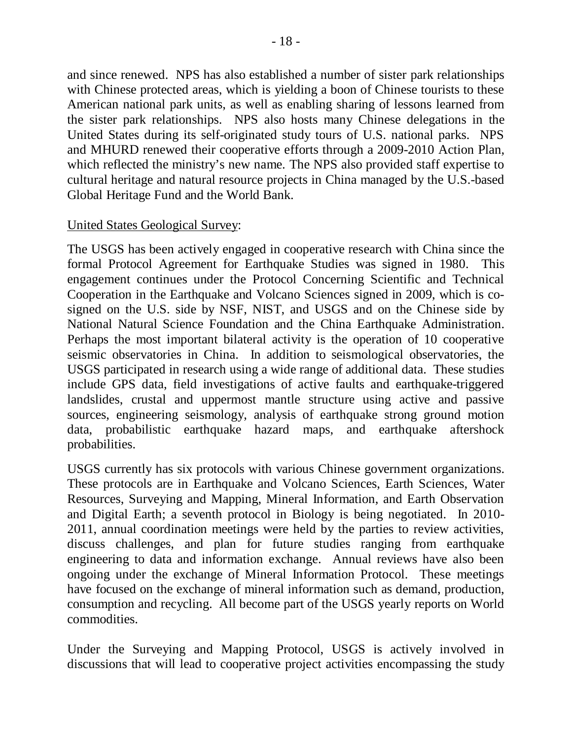and since renewed. NPS has also established a number of sister park relationships with Chinese protected areas, which is yielding a boon of Chinese tourists to these American national park units, as well as enabling sharing of lessons learned from the sister park relationships. NPS also hosts many Chinese delegations in the United States during its self-originated study tours of U.S. national parks. NPS and MHURD renewed their cooperative efforts through a 2009-2010 Action Plan, which reflected the ministry's new name. The NPS also provided staff expertise to cultural heritage and natural resource projects in China managed by the U.S.-based Global Heritage Fund and the World Bank.

#### United States Geological Survey:

The USGS has been actively engaged in cooperative research with China since the formal Protocol Agreement for Earthquake Studies was signed in 1980. This engagement continues under the Protocol Concerning Scientific and Technical Cooperation in the Earthquake and Volcano Sciences signed in 2009, which is cosigned on the U.S. side by NSF, NIST, and USGS and on the Chinese side by National Natural Science Foundation and the China Earthquake Administration. Perhaps the most important bilateral activity is the operation of 10 cooperative seismic observatories in China. In addition to seismological observatories, the USGS participated in research using a wide range of additional data. These studies include GPS data, field investigations of active faults and earthquake-triggered landslides, crustal and uppermost mantle structure using active and passive sources, engineering seismology, analysis of earthquake strong ground motion data, probabilistic earthquake hazard maps, and earthquake aftershock probabilities.

USGS currently has six protocols with various Chinese government organizations. These protocols are in Earthquake and Volcano Sciences, Earth Sciences, Water Resources, Surveying and Mapping, Mineral Information, and Earth Observation and Digital Earth; a seventh protocol in Biology is being negotiated. In 2010- 2011, annual coordination meetings were held by the parties to review activities, discuss challenges, and plan for future studies ranging from earthquake engineering to data and information exchange. Annual reviews have also been ongoing under the exchange of Mineral Information Protocol. These meetings have focused on the exchange of mineral information such as demand, production, consumption and recycling. All become part of the USGS yearly reports on World commodities.

Under the Surveying and Mapping Protocol, USGS is actively involved in discussions that will lead to cooperative project activities encompassing the study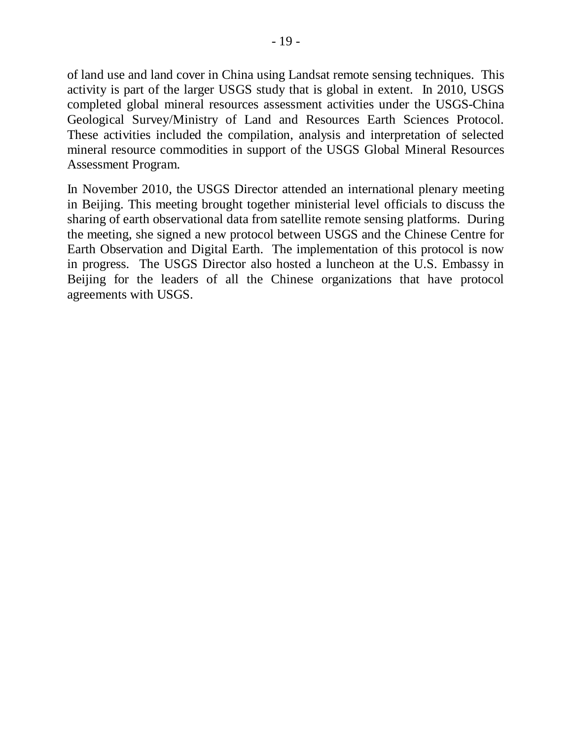of land use and land cover in China using Landsat remote sensing techniques. This activity is part of the larger USGS study that is global in extent. In 2010, USGS completed global mineral resources assessment activities under the USGS-China Geological Survey/Ministry of Land and Resources Earth Sciences Protocol. These activities included the compilation, analysis and interpretation of selected mineral resource commodities in support of the USGS Global Mineral Resources Assessment Program.

In November 2010, the USGS Director attended an international plenary meeting in Beijing. This meeting brought together ministerial level officials to discuss the sharing of earth observational data from satellite remote sensing platforms. During the meeting, she signed a new protocol between USGS and the Chinese Centre for Earth Observation and Digital Earth. The implementation of this protocol is now in progress. The USGS Director also hosted a luncheon at the U.S. Embassy in Beijing for the leaders of all the Chinese organizations that have protocol agreements with USGS.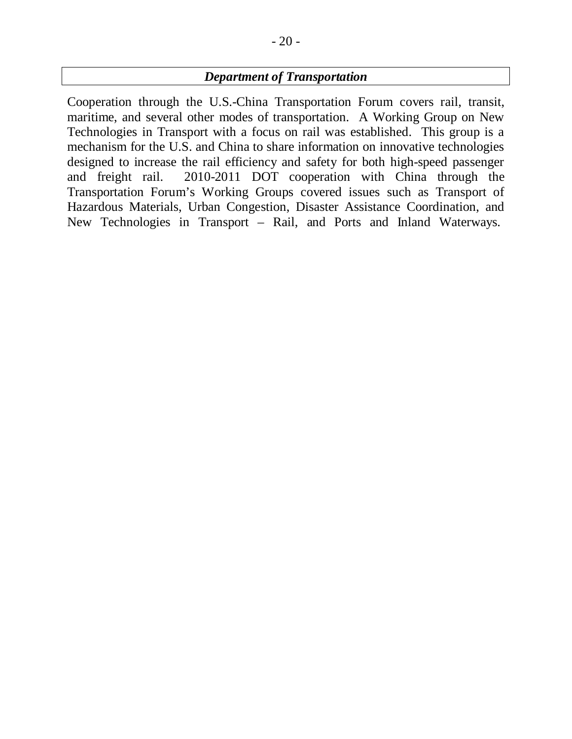### *Department of Transportation*

Cooperation through the U.S.-China Transportation Forum covers rail, transit, maritime, and several other modes of transportation. A Working Group on New Technologies in Transport with a focus on rail was established. This group is a mechanism for the U.S. and China to share information on innovative technologies designed to increase the rail efficiency and safety for both high-speed passenger and freight rail. 2010-2011 DOT cooperation with China through the Transportation Forum's Working Groups covered issues such as Transport of Hazardous Materials, Urban Congestion, Disaster Assistance Coordination, and New Technologies in Transport – Rail, and Ports and Inland Waterways.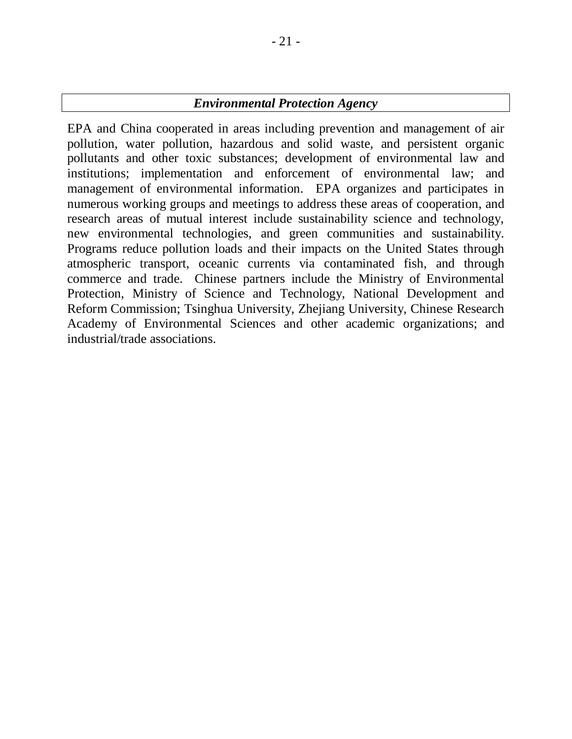### *Environmental Protection Agency*

EPA and China cooperated in areas including prevention and management of air pollution, water pollution, hazardous and solid waste, and persistent organic pollutants and other toxic substances; development of environmental law and institutions; implementation and enforcement of environmental law; and management of environmental information. EPA organizes and participates in numerous working groups and meetings to address these areas of cooperation, and research areas of mutual interest include sustainability science and technology, new environmental technologies, and green communities and sustainability. Programs reduce pollution loads and their impacts on the United States through atmospheric transport, oceanic currents via contaminated fish, and through commerce and trade. Chinese partners include the Ministry of Environmental Protection, Ministry of Science and Technology, National Development and Reform Commission; Tsinghua University, Zhejiang University, Chinese Research Academy of Environmental Sciences and other academic organizations; and industrial/trade associations.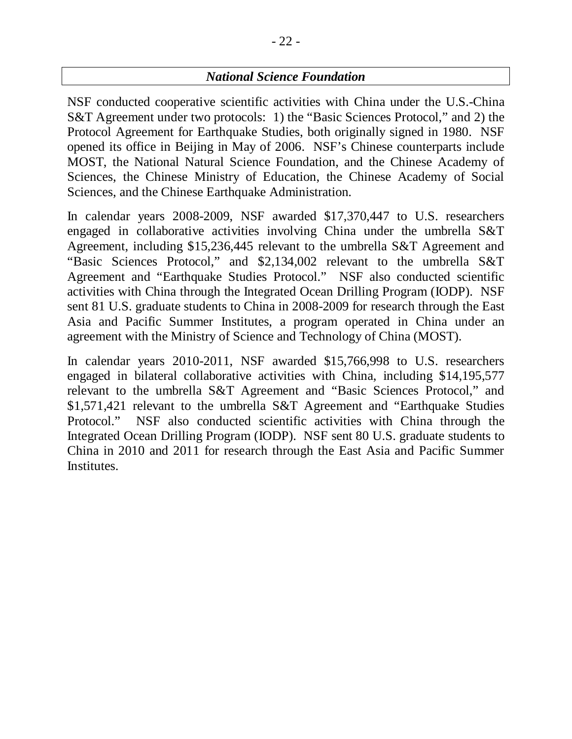## *National Science Foundation*

NSF conducted cooperative scientific activities with China under the U.S.-China S&T Agreement under two protocols: 1) the "Basic Sciences Protocol," and 2) the Protocol Agreement for Earthquake Studies, both originally signed in 1980. NSF opened its office in Beijing in May of 2006. NSF's Chinese counterparts include MOST, the National Natural Science Foundation, and the Chinese Academy of Sciences, the Chinese Ministry of Education, the Chinese Academy of Social Sciences, and the Chinese Earthquake Administration.

In calendar years 2008-2009, NSF awarded \$17,370,447 to U.S. researchers engaged in collaborative activities involving China under the umbrella S&T Agreement, including \$15,236,445 relevant to the umbrella S&T Agreement and "Basic Sciences Protocol," and \$2,134,002 relevant to the umbrella S&T Agreement and "Earthquake Studies Protocol." NSF also conducted scientific activities with China through the Integrated Ocean Drilling Program (IODP). NSF sent 81 U.S. graduate students to China in 2008-2009 for research through the East Asia and Pacific Summer Institutes, a program operated in China under an agreement with the Ministry of Science and Technology of China (MOST).

In calendar years 2010-2011, NSF awarded \$15,766,998 to U.S. researchers engaged in bilateral collaborative activities with China, including \$14,195,577 relevant to the umbrella S&T Agreement and "Basic Sciences Protocol," and \$1,571,421 relevant to the umbrella S&T Agreement and "Earthquake Studies Protocol." NSF also conducted scientific activities with China through the Integrated Ocean Drilling Program (IODP). NSF sent 80 U.S. graduate students to China in 2010 and 2011 for research through the East Asia and Pacific Summer Institutes.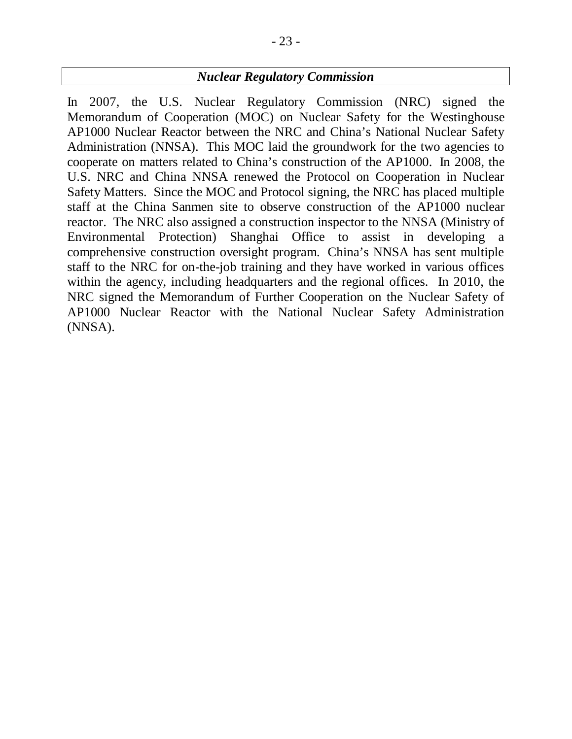## *Nuclear Regulatory Commission*

In 2007, the U.S. Nuclear Regulatory Commission (NRC) signed the Memorandum of Cooperation (MOC) on Nuclear Safety for the Westinghouse AP1000 Nuclear Reactor between the NRC and China's National Nuclear Safety Administration (NNSA). This MOC laid the groundwork for the two agencies to cooperate on matters related to China's construction of the AP1000. In 2008, the U.S. NRC and China NNSA renewed the Protocol on Cooperation in Nuclear Safety Matters. Since the MOC and Protocol signing, the NRC has placed multiple staff at the China Sanmen site to observe construction of the AP1000 nuclear reactor. The NRC also assigned a construction inspector to the NNSA (Ministry of Environmental Protection) Shanghai Office to assist in developing a comprehensive construction oversight program. China's NNSA has sent multiple staff to the NRC for on-the-job training and they have worked in various offices within the agency, including headquarters and the regional offices. In 2010, the NRC signed the Memorandum of Further Cooperation on the Nuclear Safety of AP1000 Nuclear Reactor with the National Nuclear Safety Administration (NNSA).